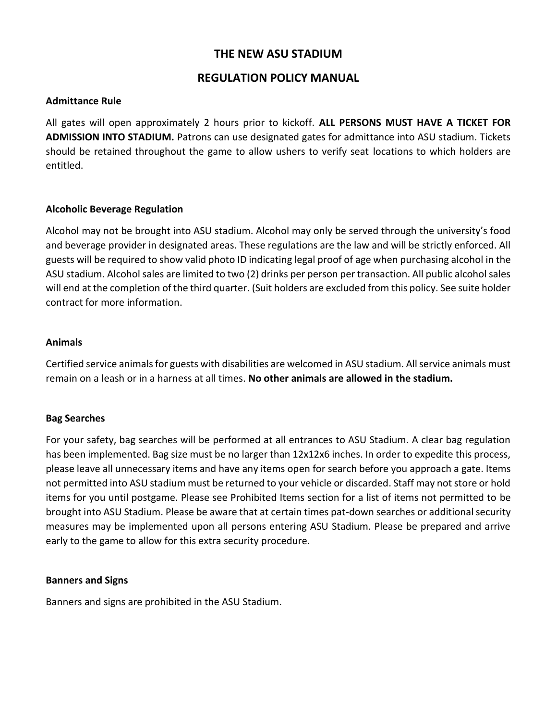# **THE NEW ASU STADIUM**

# **REGULATION POLICY MANUAL**

### **Admittance Rule**

All gates will open approximately 2 hours prior to kickoff. **ALL PERSONS MUST HAVE A TICKET FOR ADMISSION INTO STADIUM.** Patrons can use designated gates for admittance into ASU stadium. Tickets should be retained throughout the game to allow ushers to verify seat locations to which holders are entitled.

# **Alcoholic Beverage Regulation**

Alcohol may not be brought into ASU stadium. Alcohol may only be served through the university's food and beverage provider in designated areas. These regulations are the law and will be strictly enforced. All guests will be required to show valid photo ID indicating legal proof of age when purchasing alcohol in the ASU stadium. Alcohol sales are limited to two (2) drinks per person per transaction. All public alcohol sales will end at the completion of the third quarter. (Suit holders are excluded from this policy. See suite holder contract for more information.

### **Animals**

Certified service animals for guests with disabilities are welcomed in ASU stadium. All service animals must remain on a leash or in a harness at all times. **No other animals are allowed in the stadium.**

### **Bag Searches**

For your safety, bag searches will be performed at all entrances to ASU Stadium. A clear bag regulation has been implemented. Bag size must be no larger than 12x12x6 inches. In order to expedite this process, please leave all unnecessary items and have any items open for search before you approach a gate. Items not permitted into ASU stadium must be returned to your vehicle or discarded. Staff may not store or hold items for you until postgame. Please see Prohibited Items section for a list of items not permitted to be brought into ASU Stadium. Please be aware that at certain times pat-down searches or additional security measures may be implemented upon all persons entering ASU Stadium. Please be prepared and arrive early to the game to allow for this extra security procedure.

### **Banners and Signs**

Banners and signs are prohibited in the ASU Stadium.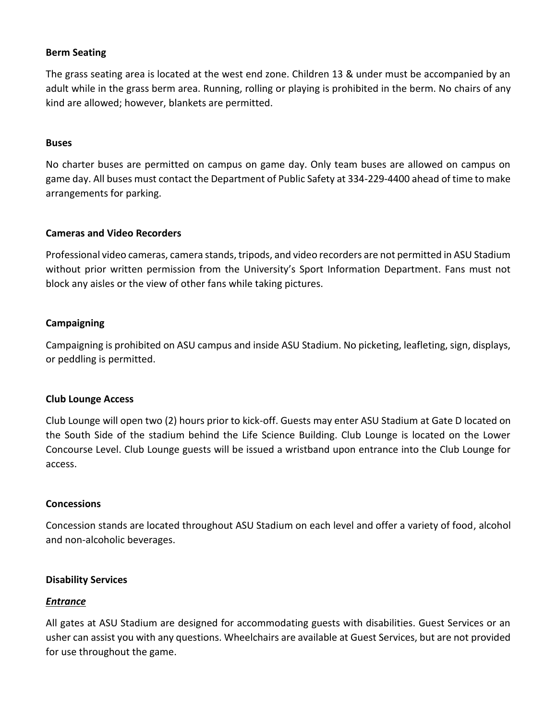## **Berm Seating**

The grass seating area is located at the west end zone. Children 13 & under must be accompanied by an adult while in the grass berm area. Running, rolling or playing is prohibited in the berm. No chairs of any kind are allowed; however, blankets are permitted.

#### **Buses**

No charter buses are permitted on campus on game day. Only team buses are allowed on campus on game day. All buses must contact the Department of Public Safety at 334-229-4400 ahead of time to make arrangements for parking.

#### **Cameras and Video Recorders**

Professional video cameras, camera stands, tripods, and video recorders are not permitted in ASU Stadium without prior written permission from the University's Sport Information Department. Fans must not block any aisles or the view of other fans while taking pictures.

### **Campaigning**

Campaigning is prohibited on ASU campus and inside ASU Stadium. No picketing, leafleting, sign, displays, or peddling is permitted.

#### **Club Lounge Access**

Club Lounge will open two (2) hours prior to kick-off. Guests may enter ASU Stadium at Gate D located on the South Side of the stadium behind the Life Science Building. Club Lounge is located on the Lower Concourse Level. Club Lounge guests will be issued a wristband upon entrance into the Club Lounge for access.

#### **Concessions**

Concession stands are located throughout ASU Stadium on each level and offer a variety of food, alcohol and non-alcoholic beverages.

#### **Disability Services**

#### *Entrance*

All gates at ASU Stadium are designed for accommodating guests with disabilities. Guest Services or an usher can assist you with any questions. Wheelchairs are available at Guest Services, but are not provided for use throughout the game.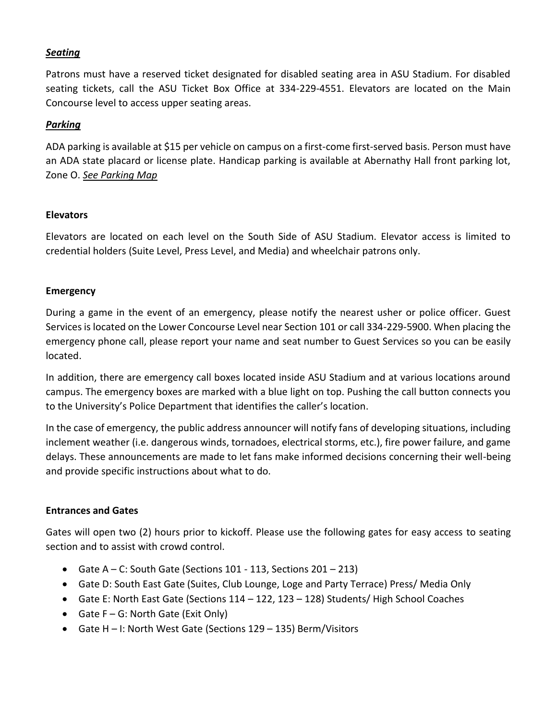# *Seating*

Patrons must have a reserved ticket designated for disabled seating area in ASU Stadium. For disabled seating tickets, call the ASU Ticket Box Office at 334-229-4551. Elevators are located on the Main Concourse level to access upper seating areas.

### *Parking*

ADA parking is available at \$15 per vehicle on campus on a first-come first-served basis. Person must have an ADA state placard or license plate. Handicap parking is available at Abernathy Hall front parking lot, Zone O. *See Parking Map*

# **Elevators**

Elevators are located on each level on the South Side of ASU Stadium. Elevator access is limited to credential holders (Suite Level, Press Level, and Media) and wheelchair patrons only.

# **Emergency**

During a game in the event of an emergency, please notify the nearest usher or police officer. Guest Services is located on the Lower Concourse Level near Section 101 or call 334-229-5900. When placing the emergency phone call, please report your name and seat number to Guest Services so you can be easily located.

In addition, there are emergency call boxes located inside ASU Stadium and at various locations around campus. The emergency boxes are marked with a blue light on top. Pushing the call button connects you to the University's Police Department that identifies the caller's location.

In the case of emergency, the public address announcer will notify fans of developing situations, including inclement weather (i.e. dangerous winds, tornadoes, electrical storms, etc.), fire power failure, and game delays. These announcements are made to let fans make informed decisions concerning their well-being and provide specific instructions about what to do.

### **Entrances and Gates**

Gates will open two (2) hours prior to kickoff. Please use the following gates for easy access to seating section and to assist with crowd control.

- Gate A C: South Gate (Sections 101 113, Sections 201 213)
- Gate D: South East Gate (Suites, Club Lounge, Loge and Party Terrace) Press/ Media Only
- Gate E: North East Gate (Sections 114 122, 123 128) Students/ High School Coaches
- Gate  $F G$ : North Gate (Exit Only)
- Gate H I: North West Gate (Sections 129 135) Berm/Visitors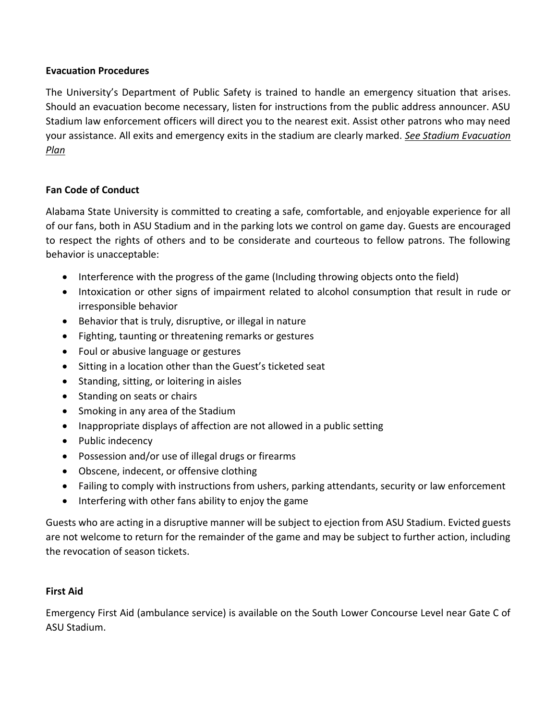# **Evacuation Procedures**

The University's Department of Public Safety is trained to handle an emergency situation that arises. Should an evacuation become necessary, listen for instructions from the public address announcer. ASU Stadium law enforcement officers will direct you to the nearest exit. Assist other patrons who may need your assistance. All exits and emergency exits in the stadium are clearly marked. *See Stadium Evacuation Plan*

# **Fan Code of Conduct**

Alabama State University is committed to creating a safe, comfortable, and enjoyable experience for all of our fans, both in ASU Stadium and in the parking lots we control on game day. Guests are encouraged to respect the rights of others and to be considerate and courteous to fellow patrons. The following behavior is unacceptable:

- Interference with the progress of the game (Including throwing objects onto the field)
- Intoxication or other signs of impairment related to alcohol consumption that result in rude or irresponsible behavior
- Behavior that is truly, disruptive, or illegal in nature
- Fighting, taunting or threatening remarks or gestures
- Foul or abusive language or gestures
- Sitting in a location other than the Guest's ticketed seat
- Standing, sitting, or loitering in aisles
- Standing on seats or chairs
- Smoking in any area of the Stadium
- Inappropriate displays of affection are not allowed in a public setting
- Public indecency
- Possession and/or use of illegal drugs or firearms
- Obscene, indecent, or offensive clothing
- Failing to comply with instructions from ushers, parking attendants, security or law enforcement
- Interfering with other fans ability to enjoy the game

Guests who are acting in a disruptive manner will be subject to ejection from ASU Stadium. Evicted guests are not welcome to return for the remainder of the game and may be subject to further action, including the revocation of season tickets.

# **First Aid**

Emergency First Aid (ambulance service) is available on the South Lower Concourse Level near Gate C of ASU Stadium.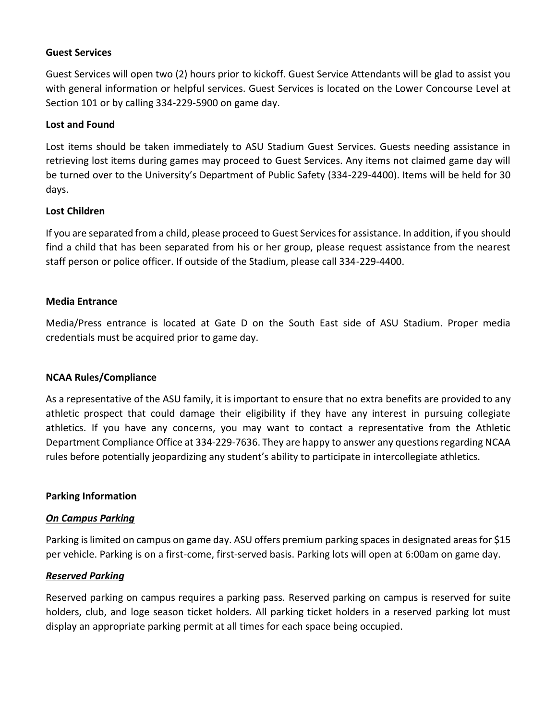### **Guest Services**

Guest Services will open two (2) hours prior to kickoff. Guest Service Attendants will be glad to assist you with general information or helpful services. Guest Services is located on the Lower Concourse Level at Section 101 or by calling 334-229-5900 on game day.

#### **Lost and Found**

Lost items should be taken immediately to ASU Stadium Guest Services. Guests needing assistance in retrieving lost items during games may proceed to Guest Services. Any items not claimed game day will be turned over to the University's Department of Public Safety (334-229-4400). Items will be held for 30 days.

#### **Lost Children**

If you are separated from a child, please proceed to Guest Services for assistance. In addition, if you should find a child that has been separated from his or her group, please request assistance from the nearest staff person or police officer. If outside of the Stadium, please call 334-229-4400.

#### **Media Entrance**

Media/Press entrance is located at Gate D on the South East side of ASU Stadium. Proper media credentials must be acquired prior to game day.

### **NCAA Rules/Compliance**

As a representative of the ASU family, it is important to ensure that no extra benefits are provided to any athletic prospect that could damage their eligibility if they have any interest in pursuing collegiate athletics. If you have any concerns, you may want to contact a representative from the Athletic Department Compliance Office at 334-229-7636. They are happy to answer any questions regarding NCAA rules before potentially jeopardizing any student's ability to participate in intercollegiate athletics.

#### **Parking Information**

#### *On Campus Parking*

Parking is limited on campus on game day. ASU offers premium parking spaces in designated areas for \$15 per vehicle. Parking is on a first-come, first-served basis. Parking lots will open at 6:00am on game day.

#### *Reserved Parking*

Reserved parking on campus requires a parking pass. Reserved parking on campus is reserved for suite holders, club, and loge season ticket holders. All parking ticket holders in a reserved parking lot must display an appropriate parking permit at all times for each space being occupied.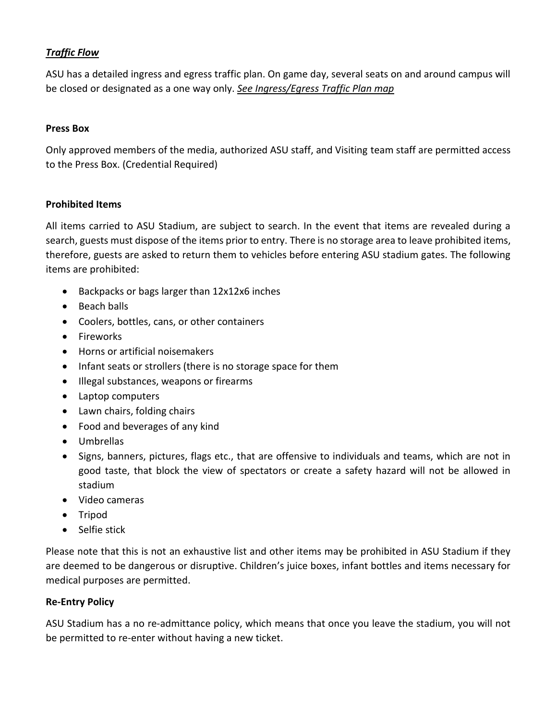# *Traffic Flow*

ASU has a detailed ingress and egress traffic plan. On game day, several seats on and around campus will be closed or designated as a one way only. *See Ingress/Egress Traffic Plan map*

## **Press Box**

Only approved members of the media, authorized ASU staff, and Visiting team staff are permitted access to the Press Box. (Credential Required)

# **Prohibited Items**

All items carried to ASU Stadium, are subject to search. In the event that items are revealed during a search, guests must dispose of the items prior to entry. There is no storage area to leave prohibited items, therefore, guests are asked to return them to vehicles before entering ASU stadium gates. The following items are prohibited:

- Backpacks or bags larger than 12x12x6 inches
- Beach balls
- Coolers, bottles, cans, or other containers
- Fireworks
- Horns or artificial noisemakers
- Infant seats or strollers (there is no storage space for them
- Illegal substances, weapons or firearms
- Laptop computers
- Lawn chairs, folding chairs
- Food and beverages of any kind
- Umbrellas
- Signs, banners, pictures, flags etc., that are offensive to individuals and teams, which are not in good taste, that block the view of spectators or create a safety hazard will not be allowed in stadium
- Video cameras
- Tripod
- Selfie stick

Please note that this is not an exhaustive list and other items may be prohibited in ASU Stadium if they are deemed to be dangerous or disruptive. Children's juice boxes, infant bottles and items necessary for medical purposes are permitted.

# **Re-Entry Policy**

ASU Stadium has a no re-admittance policy, which means that once you leave the stadium, you will not be permitted to re-enter without having a new ticket.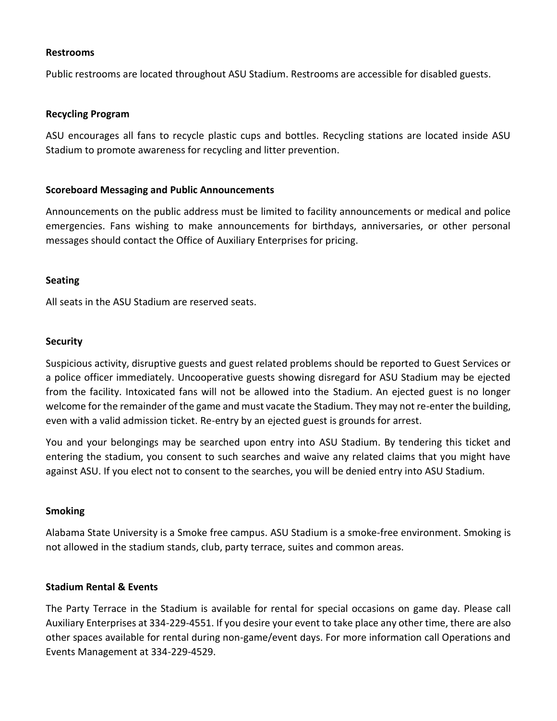#### **Restrooms**

Public restrooms are located throughout ASU Stadium. Restrooms are accessible for disabled guests.

#### **Recycling Program**

ASU encourages all fans to recycle plastic cups and bottles. Recycling stations are located inside ASU Stadium to promote awareness for recycling and litter prevention.

#### **Scoreboard Messaging and Public Announcements**

Announcements on the public address must be limited to facility announcements or medical and police emergencies. Fans wishing to make announcements for birthdays, anniversaries, or other personal messages should contact the Office of Auxiliary Enterprises for pricing.

#### **Seating**

All seats in the ASU Stadium are reserved seats.

#### **Security**

Suspicious activity, disruptive guests and guest related problems should be reported to Guest Services or a police officer immediately. Uncooperative guests showing disregard for ASU Stadium may be ejected from the facility. Intoxicated fans will not be allowed into the Stadium. An ejected guest is no longer welcome for the remainder of the game and must vacate the Stadium. They may not re-enter the building, even with a valid admission ticket. Re-entry by an ejected guest is grounds for arrest.

You and your belongings may be searched upon entry into ASU Stadium. By tendering this ticket and entering the stadium, you consent to such searches and waive any related claims that you might have against ASU. If you elect not to consent to the searches, you will be denied entry into ASU Stadium.

#### **Smoking**

Alabama State University is a Smoke free campus. ASU Stadium is a smoke-free environment. Smoking is not allowed in the stadium stands, club, party terrace, suites and common areas.

#### **Stadium Rental & Events**

The Party Terrace in the Stadium is available for rental for special occasions on game day. Please call Auxiliary Enterprises at 334-229-4551. If you desire your event to take place any other time, there are also other spaces available for rental during non-game/event days. For more information call Operations and Events Management at 334-229-4529.